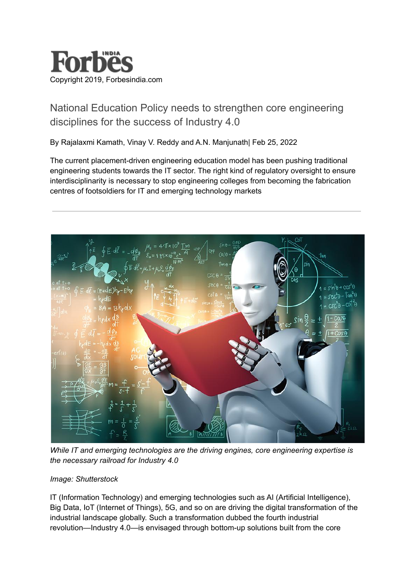

## [National Education Policy needs to strengthen core engineering](https://www.forbesindia.com/article/iim-bangalore/national-education-policy-needs-to-strengthen-core-engineering-disciplines-for-the-success-of-industry-40/74023/1) [disciplines for the success of Industry 4.0](https://www.forbesindia.com/article/iim-bangalore/national-education-policy-needs-to-strengthen-core-engineering-disciplines-for-the-success-of-industry-40/74023/1)

By Rajalaxmi Kamath, Vinay V. Reddy and A.N. Manjunath| Feb 25, 2022

The current placement-driven engineering education model has been pushing traditional engineering students towards the IT sector. The right kind of regulatory oversight to ensure interdisciplinarity is necessary to stop engineering colleges from becoming the fabrication centres of footsoldiers for IT and emerging technology markets



*While IT and emerging technologies are the driving engines, core engineering expertise is the necessary railroad for Industry 4.0*

## *Image: Shutterstock*

IT (Information Technology) and emerging technologies such as AI (Artificial Intelligence), Big Data, IoT (Internet of Things), 5G, and so on are driving the digital transformation of the industrial landscape globally. Such a transformation dubbed the fourth industrial revolution—Industry 4.0—is envisaged through bottom-up solutions built from the core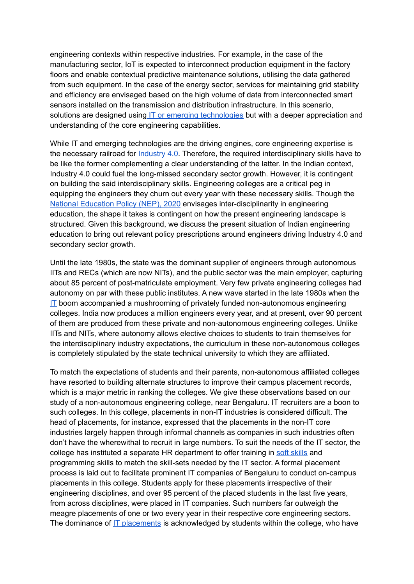engineering contexts within respective industries. For example, in the case of the manufacturing sector, IoT is expected to interconnect production equipment in the factory floors and enable contextual predictive maintenance solutions, utilising the data gathered from such equipment. In the case of the energy sector, services for maintaining grid stability and efficiency are envisaged based on the high volume of data from interconnected smart sensors installed on the transmission and distribution infrastructure. In this scenario, solutions are designed using IT or emerging [technologies](https://www.forbesindia.com/article/iim-ahmedabad/ict-education-stakeholders-need-to-move-from-technology-provision-to-technology-integration/70963/1) but with a deeper appreciation and understanding of the core engineering capabilities.

While IT and emerging technologies are the driving engines, core engineering expertise is the necessary railroad for [Industry](https://www.forbesindia.com/article/sustainability-special/industry-40-indias-urgent-need-to-make-the-revolution-green/68165/1) 4.0. Therefore, the required interdisciplinary skills have to be like the former complementing a clear understanding of the latter. In the Indian context, Industry 4.0 could fuel the long-missed secondary sector growth. However, it is contingent on building the said interdisciplinary skills. Engineering colleges are a critical peg in equipping the engineers they churn out every year with these necessary skills. Though the National [Education](https://www.forbesindia.com/article/budget-2022/budget-2022-education-gets-a-digital-push/73339/1) Policy (NEP), 2020 envisages inter-disciplinarity in engineering education, the shape it takes is contingent on how the present engineering landscape is structured. Given this background, we discuss the present situation of Indian engineering education to bring out relevant policy prescriptions around engineers driving Industry 4.0 and secondary sector growth.

Until the late 1980s, the state was the dominant supplier of engineers through autonomous IITs and RECs (which are now NITs), and the public sector was the main employer, capturing about 85 percent of post-matriculate employment. Very few private engineering colleges had autonomy on par with these public institutes. A new wave started in the late 1980s when the [IT](https://www.forbesindia.com/article/iim-bangalore/indian-itbpm-sector-needs-to-restructure-processes-to-bridge-the-core-vs-it-divide/70749/1) boom accompanied a mushrooming of privately funded non-autonomous engineering colleges. India now produces a million engineers every year, and at present, over 90 percent of them are produced from these private and non-autonomous engineering colleges. Unlike IITs and NITs, where autonomy allows elective choices to students to train themselves for the interdisciplinary industry expectations, the curriculum in these non-autonomous colleges is completely stipulated by the state technical university to which they are affiliated.

To match the expectations of students and their parents, non-autonomous affiliated colleges have resorted to building alternate structures to improve their campus placement records, which is a major metric in ranking the colleges. We give these observations based on our study of a non-autonomous engineering college, near Bengaluru. IT recruiters are a boon to such colleges. In this college, placements in non-IT industries is considered difficult. The head of placements, for instance, expressed that the placements in the non-IT core industries largely happen through informal channels as companies in such industries often don't have the wherewithal to recruit in large numbers. To suit the needs of the IT sector, the college has instituted a separate HR department to offer training in soft [skills](https://www.forbesindia.com/article/news-by-numbers/what-indias-youth-want-skillbased-hiring-over-work-experience/69157/1) and programming skills to match the skill-sets needed by the IT sector. A formal placement process is laid out to facilitate prominent IT companies of Bengaluru to conduct on-campus placements in this college. Students apply for these placements irrespective of their engineering disciplines, and over 95 percent of the placed students in the last five years, from across disciplines, were placed in IT companies. Such numbers far outweigh the meagre placements of one or two every year in their respective core engineering sectors. The dominance of IT [placements](https://www.forbesindia.com/article/jobs-of-the-next-decade/soft-skills-to-accelerate-your-career-growth/66481/1) is acknowledged by students within the college, who have